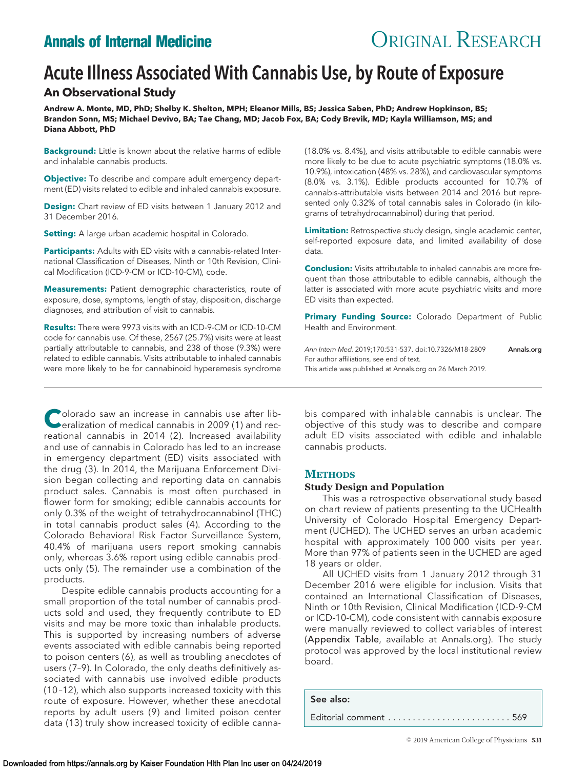# **Annals of Internal Medicine CRIGINAL RESEARCH**

# Acute Illness Associated With Cannabis Use, by Route of Exposure

# **An Observational Study**

**Andrew A. Monte, MD, PhD; Shelby K. Shelton, MPH; Eleanor Mills, BS; Jessica Saben, PhD; Andrew Hopkinson, BS; Brandon Sonn, MS; Michael Devivo, BA; Tae Chang, MD; Jacob Fox, BA; Cody Brevik, MD; Kayla Williamson, MS; and Diana Abbott, PhD**

**Background:** Little is known about the relative harms of edible and inhalable cannabis products.

**Objective:** To describe and compare adult emergency department (ED) visits related to edible and inhaled cannabis exposure.

**Design:** Chart review of ED visits between 1 January 2012 and 31 December 2016.

**Setting:** A large urban academic hospital in Colorado.

**Participants:** Adults with ED visits with a cannabis-related International Classification of Diseases, Ninth or 10th Revision, Clinical Modification (ICD-9-CM or ICD-10-CM), code.

**Measurements:** Patient demographic characteristics, route of exposure, dose, symptoms, length of stay, disposition, discharge diagnoses, and attribution of visit to cannabis.

**Results:** There were 9973 visits with an ICD-9-CM or ICD-10-CM code for cannabis use. Of these, 2567 (25.7%) visits were at least partially attributable to cannabis, and 238 of those (9.3%) were related to edible cannabis. Visits attributable to inhaled cannabis were more likely to be for cannabinoid hyperemesis syndrome

**Colorado saw an increase in cannabis use after lib-**<br>
eralization of medical cannabis in 2009 (1) and recreational cannabis in 2014 (2). Increased availability and use of cannabis in Colorado has led to an increase in emergency department (ED) visits associated with the drug (3). In 2014, the Marijuana Enforcement Division began collecting and reporting data on cannabis product sales. Cannabis is most often purchased in flower form for smoking; edible cannabis accounts for only 0.3% of the weight of tetrahydrocannabinol (THC) in total cannabis product sales (4). According to the Colorado Behavioral Risk Factor Surveillance System, 40.4% of marijuana users report smoking cannabis only, whereas 3.6% report using edible cannabis products only (5). The remainder use a combination of the products.

Despite edible cannabis products accounting for a small proportion of the total number of cannabis products sold and used, they frequently contribute to ED visits and may be more toxic than inhalable products. This is supported by increasing numbers of adverse events associated with edible cannabis being reported to poison centers (6), as well as troubling anecdotes of users (7–9). In Colorado, the only deaths definitively associated with cannabis use involved edible products (10 –12), which also supports increased toxicity with this route of exposure. However, whether these anecdotal reports by adult users (9) and limited poison center data (13) truly show increased toxicity of edible canna(18.0% vs. 8.4%), and visits attributable to edible cannabis were more likely to be due to acute psychiatric symptoms (18.0% vs. 10.9%), intoxication (48% vs. 28%), and cardiovascular symptoms (8.0% vs. 3.1%). Edible products accounted for 10.7% of cannabis-attributable visits between 2014 and 2016 but represented only 0.32% of total cannabis sales in Colorado (in kilograms of tetrahydrocannabinol) during that period.

**Limitation:** Retrospective study design, single academic center, self-reported exposure data, and limited availability of dose data.

**Conclusion:** Visits attributable to inhaled cannabis are more frequent than those attributable to edible cannabis, although the latter is associated with more acute psychiatric visits and more ED visits than expected.

**Primary Funding Source:** Colorado Department of Public Health and Environment.

Ann Intern Med. 2019:170:531-537. doi:10.7326/M18-2809 **[Annals.org](http://www.annals.org)** For author affiliations, see end of text. This article was published at [Annals.org](http://www.annals.org) on 26 March 2019.

bis compared with inhalable cannabis is unclear. The objective of this study was to describe and compare adult ED visits associated with edible and inhalable cannabis products.

# **METHODS**

#### **Study Design and Population**

This was a retrospective observational study based on chart review of patients presenting to the UCHealth University of Colorado Hospital Emergency Department (UCHED). The UCHED serves an urban academic hospital with approximately 100 000 visits per year. More than 97% of patients seen in the UCHED are aged 18 years or older.

All UCHED visits from 1 January 2012 through 31 December 2016 were eligible for inclusion. Visits that contained an International Classification of Diseases, Ninth or 10th Revision, Clinical Modification (ICD-9-CM or ICD-10-CM), code consistent with cannabis exposure were manually reviewed to collect variables of interest (Appendix Table, available at [Annals.org\)](http://www.annals.org). The study protocol was approved by the local institutional review board.

See also: Editorial comment . . . . . . . . . . . . . . . . . . . . . . . . . 569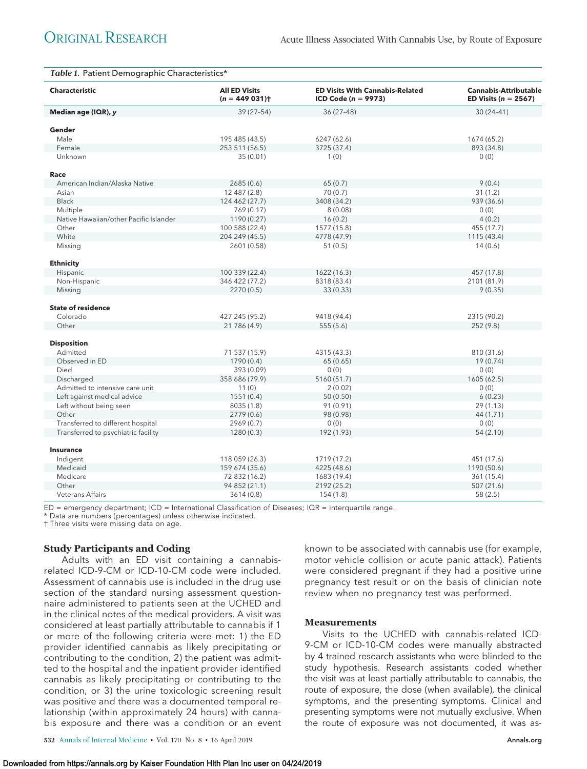| <b>Characteristic</b>                  | <b>All ED Visits</b><br>$(n = 449031)$ | <b>ED Visits With Cannabis-Related</b><br><b>ICD Code</b> ( $n = 9973$ ) | <b>Cannabis-Attributable</b><br>ED Visits ( $n = 2567$ ) |  |
|----------------------------------------|----------------------------------------|--------------------------------------------------------------------------|----------------------------------------------------------|--|
| Median age (IQR), y                    | 39 (27-54)                             | $36(27-48)$                                                              | $30(24-41)$                                              |  |
| Gender                                 |                                        |                                                                          |                                                          |  |
| Male                                   | 195 485 (43.5)                         | 6247 (62.6)                                                              | 1674 (65.2)                                              |  |
| Female                                 | 253 511 (56.5)                         | 3725 (37.4)                                                              | 893 (34.8)                                               |  |
| Unknown                                | 35 (0.01)                              | 1(0)                                                                     | (0)                                                      |  |
| Race                                   |                                        |                                                                          |                                                          |  |
| American Indian/Alaska Native          | 2685(0.6)                              | 65(0.7)                                                                  | 9(0.4)                                                   |  |
| Asian                                  | 12 487 (2.8)                           | 70 (0.7)                                                                 | 31(1.2)                                                  |  |
| <b>Black</b>                           | 124 462 (27.7)                         | 3408 (34.2)                                                              | 939 (36.6)                                               |  |
| Multiple                               | 769 (0.17)                             | 8(0.08)                                                                  | 0(0)                                                     |  |
| Native Hawaiian/other Pacific Islander | 1190 (0.27)                            | 16(0.2)                                                                  | 4(0.2)                                                   |  |
| Other                                  | 100 588 (22.4)                         | 1577 (15.8)                                                              | 455 (17.7)                                               |  |
| White                                  | 204 249 (45.5)                         | 4778 (47.9)                                                              | 1115 (43.4)                                              |  |
| Missing                                | 2601 (0.58)                            | 51(0.5)                                                                  | 14(0.6)                                                  |  |
| <b>Ethnicity</b>                       |                                        |                                                                          |                                                          |  |
| Hispanic                               | 100 339 (22.4)                         | 1622 (16.3)                                                              | 457 (17.8)                                               |  |
| Non-Hispanic                           | 346 422 (77.2)                         | 8318 (83.4)                                                              | 2101 (81.9)                                              |  |
| Missing                                | 2270(0.5)                              | 33 (0.33)                                                                | 9(0.35)                                                  |  |
| <b>State of residence</b>              |                                        |                                                                          |                                                          |  |
| Colorado                               | 427 245 (95.2)                         | 9418 (94.4)                                                              | 2315 (90.2)                                              |  |
| Other                                  | 21 786 (4.9)                           | 555(5.6)                                                                 | 252 (9.8)                                                |  |
| <b>Disposition</b>                     |                                        |                                                                          |                                                          |  |
| Admitted                               | 71 537 (15.9)                          | 4315 (43.3)                                                              | 810 (31.6)                                               |  |
| Observed in ED                         | 1790 (0.4)                             | 65 (0.65)                                                                | 19(0.74)                                                 |  |
| Died                                   | 393 (0.09)                             | 0(0)                                                                     | 0(0)                                                     |  |
| Discharged                             | 358 686 (79.9)                         | 5160 (51.7)                                                              | 1605(62.5)                                               |  |
| Admitted to intensive care unit        | 11(0)                                  | 2(0.02)                                                                  | 0(0)                                                     |  |
| Left against medical advice            | 1551(0.4)                              | 50(0.50)                                                                 | 6(0.23)                                                  |  |
| Left without being seen                | 8035 (1.8)                             | 91 (0.91)                                                                | 29(1.13)                                                 |  |
| Other                                  | 2779 (0.6)                             | 98 (0.98)                                                                | 44 (1.71)                                                |  |
| Transferred to different hospital      | 2969 (0.7)                             | 0(0)                                                                     | 0(0)                                                     |  |
| Transferred to psychiatric facility    | 1280(0.3)                              | 192 (1.93)                                                               | 54(2.10)                                                 |  |
| <b>Insurance</b>                       |                                        |                                                                          |                                                          |  |
| Indigent                               | 118 059 (26.3)                         | 1719 (17.2)                                                              | 451 (17.6)                                               |  |
| Medicaid                               | 159 674 (35.6)                         | 4225 (48.6)                                                              | 1190 (50.6)                                              |  |
| Medicare                               | 72 832 (16.2)                          | 1683 (19.4)                                                              | 361 (15.4)                                               |  |
| Other                                  | 94 852 (21.1)                          | 2192 (25.2)                                                              | 507 (21.6)                                               |  |
| <b>Veterans Affairs</b>                | 3614(0.8)                              | 154(1.8)                                                                 | 58 (2.5)                                                 |  |

ED = emergency department; ICD = International Classification of Diseases; IQR = interquartile range.

\* Data are numbers (percentages) unless otherwise indicated.

† Three visits were missing data on age.

#### **Study Participants and Coding**

Adults with an ED visit containing a cannabisrelated ICD-9-CM or ICD-10-CM code were included. Assessment of cannabis use is included in the drug use section of the standard nursing assessment questionnaire administered to patients seen at the UCHED and in the clinical notes of the medical providers. A visit was considered at least partially attributable to cannabis if 1 or more of the following criteria were met: 1) the ED provider identified cannabis as likely precipitating or contributing to the condition, 2) the patient was admitted to the hospital and the inpatient provider identified cannabis as likely precipitating or contributing to the condition, or 3) the urine toxicologic screening result was positive and there was a documented temporal relationship (within approximately 24 hours) with cannabis exposure and there was a condition or an event

motor vehicle collision or acute panic attack). Patients were considered pregnant if they had a positive urine pregnancy test result or on the basis of clinician note review when no pregnancy test was performed.

known to be associated with cannabis use (for example,

#### **Measurements**

Visits to the UCHED with cannabis-related ICD-9-CM or ICD-10-CM codes were manually abstracted by 4 trained research assistants who were blinded to the study hypothesis. Research assistants coded whether the visit was at least partially attributable to cannabis, the route of exposure, the dose (when available), the clinical symptoms, and the presenting symptoms. Clinical and presenting symptoms were not mutually exclusive. When the route of exposure was not documented, it was as-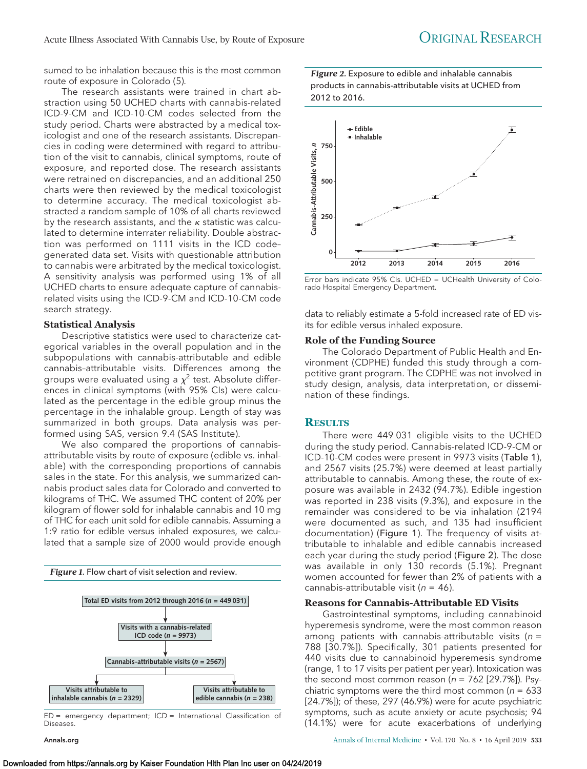sumed to be inhalation because this is the most common route of exposure in Colorado (5).

The research assistants were trained in chart abstraction using 50 UCHED charts with cannabis-related ICD-9-CM and ICD-10-CM codes selected from the study period. Charts were abstracted by a medical toxicologist and one of the research assistants. Discrepancies in coding were determined with regard to attribution of the visit to cannabis, clinical symptoms, route of exposure, and reported dose. The research assistants were retrained on discrepancies, and an additional 250 charts were then reviewed by the medical toxicologist to determine accuracy. The medical toxicologist abstracted a random sample of 10% of all charts reviewed by the research assistants, and the  $\kappa$  statistic was calculated to determine interrater reliability. Double abstraction was performed on 1111 visits in the ICD code– generated data set. Visits with questionable attribution to cannabis were arbitrated by the medical toxicologist. A sensitivity analysis was performed using 1% of all UCHED charts to ensure adequate capture of cannabisrelated visits using the ICD-9-CM and ICD-10-CM code search strategy.

#### **Statistical Analysis**

Descriptive statistics were used to characterize categorical variables in the overall population and in the subpopulations with cannabis-attributable and edible cannabis–attributable visits. Differences among the groups were evaluated using a  $\chi^2$  test. Absolute differences in clinical symptoms (with 95% CIs) were calculated as the percentage in the edible group minus the percentage in the inhalable group. Length of stay was summarized in both groups. Data analysis was performed using SAS, version 9.4 (SAS Institute).

We also compared the proportions of cannabisattributable visits by route of exposure (edible vs. inhalable) with the corresponding proportions of cannabis sales in the state. For this analysis, we summarized cannabis product sales data for Colorado and converted to kilograms of THC. We assumed THC content of 20% per kilogram of flower sold for inhalable cannabis and 10 mg of THC for each unit sold for edible cannabis. Assuming a 1:9 ratio for edible versus inhaled exposures, we calculated that a sample size of 2000 would provide enough



ED = emergency department; ICD = International Classification of Diseases.

*Figure 2.* Exposure to edible and inhalable cannabis products in cannabis-attributable visits at UCHED from 2012 to 2016.



Error bars indicate 95% CIs. UCHED = UCHealth University of Colorado Hospital Emergency Department.

data to reliably estimate a 5-fold increased rate of ED visits for edible versus inhaled exposure.

#### **Role of the Funding Source**

The Colorado Department of Public Health and Environment (CDPHE) funded this study through a competitive grant program. The CDPHE was not involved in study design, analysis, data interpretation, or dissemination of these findings.

#### **RESULTS**

There were 449 031 eligible visits to the UCHED during the study period. Cannabis-related ICD-9-CM or ICD-10-CM codes were present in 9973 visits (Table 1), and 2567 visits (25.7%) were deemed at least partially attributable to cannabis. Among these, the route of exposure was available in 2432 (94.7%). Edible ingestion was reported in 238 visits (9.3%), and exposure in the remainder was considered to be via inhalation (2194 were documented as such, and 135 had insufficient documentation) (Figure 1). The frequency of visits attributable to inhalable and edible cannabis increased each year during the study period (Figure 2). The dose was available in only 130 records (5.1%). Pregnant women accounted for fewer than 2% of patients with a cannabis-attributable visit ( $n = 46$ ).

#### **Reasons for Cannabis-Attributable ED Visits**

Gastrointestinal symptoms, including cannabinoid hyperemesis syndrome, were the most common reason among patients with cannabis-attributable visits ( $n =$ 788 [30.7%]). Specifically, 301 patients presented for 440 visits due to cannabinoid hyperemesis syndrome (range, 1 to 17 visits per patient per year). Intoxication was the second most common reason ( $n = 762$  [29.7%]). Psychiatric symptoms were the third most common ( $n = 633$ ) [24.7%]); of these, 297 (46.9%) were for acute psychiatric symptoms, such as acute anxiety or acute psychosis; 94 (14.1%) were for acute exacerbations of underlying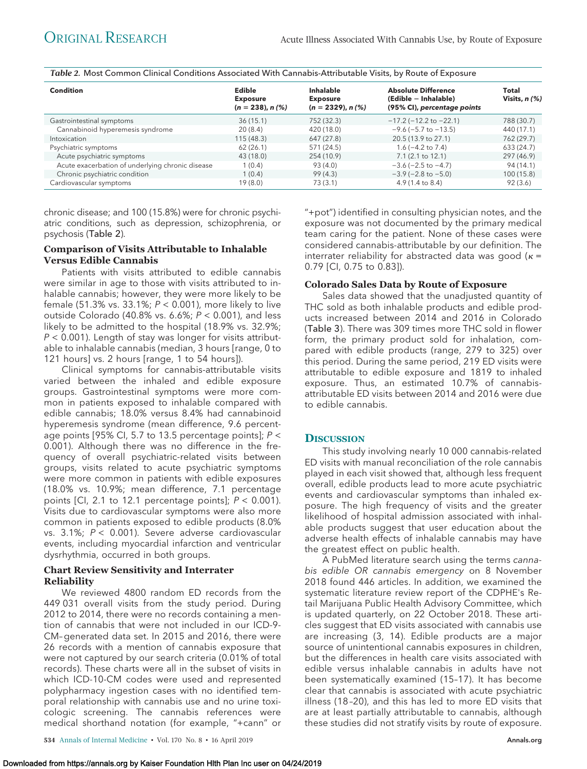*Table 2.* Most Common Clinical Conditions Associated With Cannabis-Attributable Visits, by Route of Exposure

| Condition                                        | Edible<br><b>Exposure</b><br>$(n = 238)$ , n $(%)$ | Inhalable<br><b>Exposure</b><br>$(n = 2329)$ , n $(%)$ | <b>Absolute Difference</b><br>(Edible - Inhalable)<br>(95% CI), percentage points | Total<br>Visits, $n$ (%) |
|--------------------------------------------------|----------------------------------------------------|--------------------------------------------------------|-----------------------------------------------------------------------------------|--------------------------|
| Gastrointestinal symptoms                        | 36(15.1)                                           | 752 (32.3)                                             | $-17.2$ ( $-12.2$ to $-22.1$ )                                                    | 788 (30.7)               |
| Cannabinoid hyperemesis syndrome                 | 20(8.4)                                            | 420 (18.0)                                             | $-9.6$ ( $-5.7$ to $-13.5$ )                                                      | 440 (17.1)               |
| Intoxication                                     | 115(48.3)                                          | 647 (27.8)                                             | 20.5 (13.9 to 27.1)                                                               | 762 (29.7)               |
| Psychiatric symptoms                             | 62(26.1)                                           | 571 (24.5)                                             | $1.6(-4.2 \text{ to } 7.4)$                                                       | 633 (24.7)               |
| Acute psychiatric symptoms                       | 43 (18.0)                                          | 254 (10.9)                                             | $7.1(2.1 \text{ to } 12.1)$                                                       | 297 (46.9)               |
| Acute exacerbation of underlying chronic disease | 1(0.4)                                             | 93 (4.0)                                               | $-3.6$ ( $-2.5$ to $-4.7$ )                                                       | 94 (14.1)                |
| Chronic psychiatric condition                    | 1(0.4)                                             | 99(4.3)                                                | $-3.9$ ( $-2.8$ to $-5.0$ )                                                       | 100(15.8)                |
| Cardiovascular symptoms                          | 19(8.0)                                            | 73(3.1)                                                | $4.9(1.4 \text{ to } 8.4)$                                                        | 92(3.6)                  |

chronic disease; and 100 (15.8%) were for chronic psychiatric conditions, such as depression, schizophrenia, or psychosis (Table 2).

# **Comparison of Visits Attributable to Inhalable Versus Edible Cannabis**

Patients with visits attributed to edible cannabis were similar in age to those with visits attributed to inhalable cannabis; however, they were more likely to be female (51.3% vs. 33.1%;  $P < 0.001$ ), more likely to live outside Colorado (40.8% vs. 6.6%;  $P < 0.001$ ), and less likely to be admitted to the hospital (18.9% vs. 32.9%;  $P < 0.001$ ). Length of stay was longer for visits attributable to inhalable cannabis (median, 3 hours [range, 0 to 121 hours] vs. 2 hours [range, 1 to 54 hours]).

Clinical symptoms for cannabis-attributable visits varied between the inhaled and edible exposure groups. Gastrointestinal symptoms were more common in patients exposed to inhalable compared with edible cannabis; 18.0% versus 8.4% had cannabinoid hyperemesis syndrome (mean difference, 9.6 percentage points [95% CI, 5.7 to 13.5 percentage points];  $P \leq$ 0.001). Although there was no difference in the frequency of overall psychiatric-related visits between groups, visits related to acute psychiatric symptoms were more common in patients with edible exposures (18.0% vs. 10.9%; mean difference, 7.1 percentage points [Cl, 2.1 to 12.1 percentage points];  $P < 0.001$ ). Visits due to cardiovascular symptoms were also more common in patients exposed to edible products (8.0% vs.  $3.1\%$ ;  $P < 0.001$ ). Severe adverse cardiovascular events, including myocardial infarction and ventricular dysrhythmia, occurred in both groups.

#### **Chart Review Sensitivity and Interrater Reliability**

We reviewed 4800 random ED records from the 449 031 overall visits from the study period. During 2012 to 2014, there were no records containing a mention of cannabis that were not included in our ICD-9- CM–generated data set. In 2015 and 2016, there were 26 records with a mention of cannabis exposure that were not captured by our search criteria (0.01% of total records). These charts were all in the subset of visits in which ICD-10-CM codes were used and represented polypharmacy ingestion cases with no identified temporal relationship with cannabis use and no urine toxicologic screening. The cannabis references were medical shorthand notation (for example, "+cann" or

"+pot") identified in consulting physician notes, and the exposure was not documented by the primary medical team caring for the patient. None of these cases were considered cannabis-attributable by our definition. The interrater reliability for abstracted data was good ( $\kappa$  = 0.79 [CI, 0.75 to 0.83]).

## **Colorado Sales Data by Route of Exposure**

Sales data showed that the unadjusted quantity of THC sold as both inhalable products and edible products increased between 2014 and 2016 in Colorado (Table 3). There was 309 times more THC sold in flower form, the primary product sold for inhalation, compared with edible products (range, 279 to 325) over this period. During the same period, 219 ED visits were attributable to edible exposure and 1819 to inhaled exposure. Thus, an estimated 10.7% of cannabisattributable ED visits between 2014 and 2016 were due to edible cannabis.

# **DISCUSSION**

This study involving nearly 10 000 cannabis-related ED visits with manual reconciliation of the role cannabis played in each visit showed that, although less frequent overall, edible products lead to more acute psychiatric events and cardiovascular symptoms than inhaled exposure. The high frequency of visits and the greater likelihood of hospital admission associated with inhalable products suggest that user education about the adverse health effects of inhalable cannabis may have the greatest effect on public health.

A PubMed literature search using the terms cannabis edible OR cannabis emergency on 8 November 2018 found 446 articles. In addition, we examined the systematic literature review report of the CDPHE's Retail Marijuana Public Health Advisory Committee, which is updated quarterly, on 22 October 2018. These articles suggest that ED visits associated with cannabis use are increasing (3, 14). Edible products are a major source of unintentional cannabis exposures in children, but the differences in health care visits associated with edible versus inhalable cannabis in adults have not been systematically examined (15–17). It has become clear that cannabis is associated with acute psychiatric illness (18 –20), and this has led to more ED visits that are at least partially attributable to cannabis, although these studies did not stratify visits by route of exposure.

**534** Annals of Internal Medicine • Vol. 170 No. 8 • 16 April 2019 **[Annals.org](http://www.annals.org)**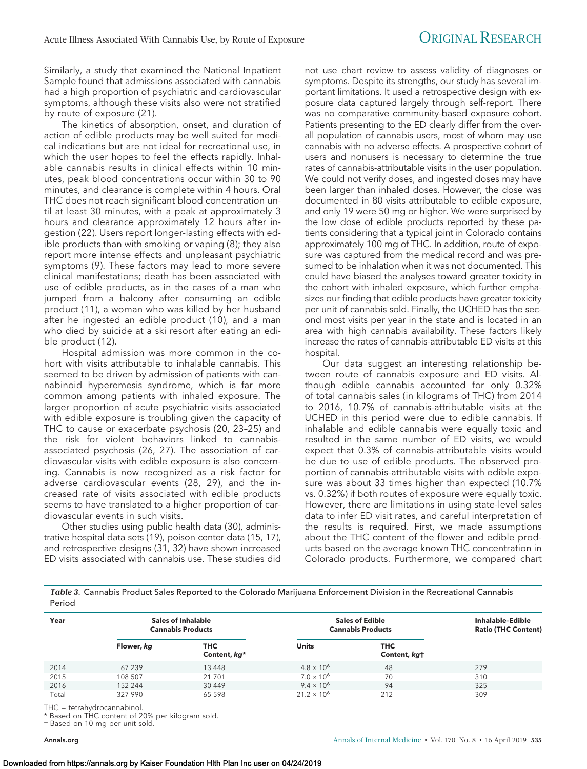Similarly, a study that examined the National Inpatient Sample found that admissions associated with cannabis had a high proportion of psychiatric and cardiovascular symptoms, although these visits also were not stratified by route of exposure (21).

The kinetics of absorption, onset, and duration of action of edible products may be well suited for medical indications but are not ideal for recreational use, in which the user hopes to feel the effects rapidly. Inhalable cannabis results in clinical effects within 10 minutes, peak blood concentrations occur within 30 to 90 minutes, and clearance is complete within 4 hours. Oral THC does not reach significant blood concentration until at least 30 minutes, with a peak at approximately 3 hours and clearance approximately 12 hours after ingestion (22). Users report longer-lasting effects with edible products than with smoking or vaping (8); they also report more intense effects and unpleasant psychiatric symptoms (9). These factors may lead to more severe clinical manifestations; death has been associated with use of edible products, as in the cases of a man who jumped from a balcony after consuming an edible product (11), a woman who was killed by her husband after he ingested an edible product (10), and a man who died by suicide at a ski resort after eating an edible product (12).

Hospital admission was more common in the cohort with visits attributable to inhalable cannabis. This seemed to be driven by admission of patients with cannabinoid hyperemesis syndrome, which is far more common among patients with inhaled exposure. The larger proportion of acute psychiatric visits associated with edible exposure is troubling given the capacity of THC to cause or exacerbate psychosis (20, 23–25) and the risk for violent behaviors linked to cannabisassociated psychosis (26, 27). The association of cardiovascular visits with edible exposure is also concerning. Cannabis is now recognized as a risk factor for adverse cardiovascular events (28, 29), and the increased rate of visits associated with edible products seems to have translated to a higher proportion of cardiovascular events in such visits.

Other studies using public health data (30), administrative hospital data sets (19), poison center data (15, 17), and retrospective designs (31, 32) have shown increased ED visits associated with cannabis use. These studies did

not use chart review to assess validity of diagnoses or symptoms. Despite its strengths, our study has several important limitations. It used a retrospective design with exposure data captured largely through self-report. There was no comparative community-based exposure cohort. Patients presenting to the ED clearly differ from the overall population of cannabis users, most of whom may use cannabis with no adverse effects. A prospective cohort of users and nonusers is necessary to determine the true rates of cannabis-attributable visits in the user population. We could not verify doses, and ingested doses may have been larger than inhaled doses. However, the dose was documented in 80 visits attributable to edible exposure, and only 19 were 50 mg or higher. We were surprised by the low dose of edible products reported by these patients considering that a typical joint in Colorado contains approximately 100 mg of THC. In addition, route of exposure was captured from the medical record and was presumed to be inhalation when it was not documented. This could have biased the analyses toward greater toxicity in the cohort with inhaled exposure, which further emphasizes our finding that edible products have greater toxicity per unit of cannabis sold. Finally, the UCHED has the second most visits per year in the state and is located in an area with high cannabis availability. These factors likely increase the rates of cannabis-attributable ED visits at this hospital.

Our data suggest an interesting relationship between route of cannabis exposure and ED visits. Although edible cannabis accounted for only 0.32% of total cannabis sales (in kilograms of THC) from 2014 to 2016, 10.7% of cannabis-attributable visits at the UCHED in this period were due to edible cannabis. If inhalable and edible cannabis were equally toxic and resulted in the same number of ED visits, we would expect that 0.3% of cannabis-attributable visits would be due to use of edible products. The observed proportion of cannabis-attributable visits with edible exposure was about 33 times higher than expected (10.7% vs. 0.32%) if both routes of exposure were equally toxic. However, there are limitations in using state-level sales data to infer ED visit rates, and careful interpretation of the results is required. First, we made assumptions about the THC content of the flower and edible products based on the average known THC concentration in Colorado products. Furthermore, we compared chart

*Table 3.* Cannabis Product Sales Reported to the Colorado Marijuana Enforcement Division in the Recreational Cannabis Period

| Year  |            | Sales of Inhalable<br><b>Cannabis Products</b> |                      | <b>Sales of Edible</b><br><b>Cannabis Products</b> |     |
|-------|------------|------------------------------------------------|----------------------|----------------------------------------------------|-----|
|       | Flower, kg | <b>THC</b><br>Content, kg*                     | <b>Units</b>         | THC<br>Content, kgt                                |     |
| 2014  | 67 239     | 13 4 48                                        | $4.8 \times 10^{6}$  | 48                                                 | 279 |
| 2015  | 108 507    | 21 701                                         | $7.0 \times 10^{6}$  | 70                                                 | 310 |
| 2016  | 152 244    | 30 449                                         | $9.4 \times 10^{6}$  | 94                                                 | 325 |
| Total | 327 990    | 65 598                                         | $21.2 \times 10^{6}$ | 212                                                | 309 |

THC = tetrahydrocannabinol.

\* Based on THC content of 20% per kilogram sold.

† Based on 10 mg per unit sold.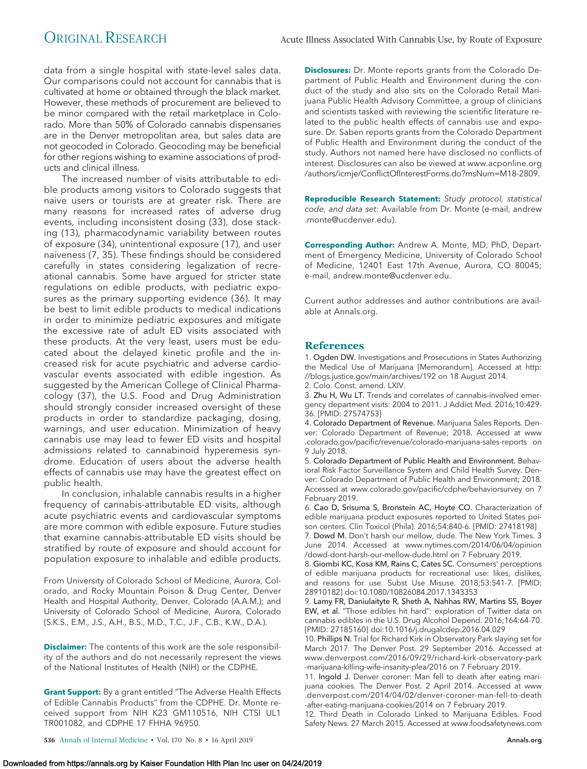data from a single hospital with state-level sales data. Our comparisons could not account for cannabis that is cultivated at home or obtained through the black market. However, these methods of procurement are believed to be minor compared with the retail marketplace in Colorado. More than 50% of Colorado cannabis dispensaries are in the Denver metropolitan area, but sales data are not geocoded in Colorado. Geocoding may be beneficial for other regions wishing to examine associations of products and clinical illness.

The increased number of visits attributable to edible products among visitors to Colorado suggests that naive users or tourists are at greater risk. There are many reasons for increased rates of adverse drug events, including inconsistent dosing (33), dose stacking (13), pharmacodynamic variability between routes of exposure (34), unintentional exposure (17), and user naiveness (7, 35). These findings should be considered carefully in states considering legalization of recreational cannabis. Some have argued for stricter state regulations on edible products, with pediatric exposures as the primary supporting evidence (36). It may be best to limit edible products to medical indications in order to minimize pediatric exposures and mitigate the excessive rate of adult ED visits associated with these products. At the very least, users must be educated about the delayed kinetic profile and the increased risk for acute psychiatric and adverse cardiovascular events associated with edible ingestion. As suggested by the American College of Clinical Pharmacology (37), the U.S. Food and Drug Administration should strongly consider increased oversight of these products in order to standardize packaging, dosing, warnings, and user education. Minimization of heavy cannabis use may lead to fewer ED visits and hospital admissions related to cannabinoid hyperemesis syndrome. Education of users about the adverse health effects of cannabis use may have the greatest effect on public health.

In conclusion, inhalable cannabis results in a higher frequency of cannabis-attributable ED visits, although acute psychiatric events and cardiovascular symptoms are more common with edible exposure. Future studies that examine cannabis-attributable ED visits should be stratified by route of exposure and should account for population exposure to inhalable and edible products.

From University of Colorado School of Medicine, Aurora, Colorado, and Rocky Mountain Poison & Drug Center, Denver Health and Hospital Authority, Denver, Colorado (A.A.M.); and University of Colorado School of Medicine, Aurora, Colorado (S.K.S., E.M., J.S., A.H., B.S., M.D., T.C., J.F., C.B., K.W., D.A.).

**Disclaimer:** The contents of this work are the sole responsibility of the authors and do not necessarily represent the views of the National Institutes of Health (NIH) or the CDPHE.

**Grant Support:** By a grant entitled "The Adverse Health Effects of Edible Cannabis Products" from the CDPHE. Dr. Monte received support from NIH K23 GM110516, NIH CTSI UL1 TR001082, and CDPHE 17 FHHA 96950.

**Disclosures:** Dr. Monte reports grants from the Colorado Department of Public Health and Environment during the conduct of the study and also sits on the Colorado Retail Marijuana Public Health Advisory Committee, a group of clinicians and scientists tasked with reviewing the scientific literature related to the public health effects of cannabis use and exposure. Dr. Saben reports grants from the Colorado Department of Public Health and Environment during the conduct of the study. Authors not named here have disclosed no conflicts of interest. Disclosures can also be viewed at [www.acponline.org](http://www.acponline.org/authors/icmje/ConflictOfInterestForms.do?msNum=M18-2809) [/authors/icmje/ConflictOfInterestForms.do?msNum=M18-2809.](http://www.acponline.org/authors/icmje/ConflictOfInterestForms.do?msNum=M18-2809)

**Reproducible Research Statement:** Study protocol, statistical code, and data set: Available from Dr. Monte (e-mail, [andrew](mailto:andrew.monte@ucdenver.edu) [.monte@ucdenver.edu\)](mailto:andrew.monte@ucdenver.edu).

**Corresponding Author:** Andrew A. Monte, MD, PhD, Department of Emergency Medicine, University of Colorado School of Medicine, 12401 East 17th Avenue, Aurora, CO 80045; e-mail, [andrew.monte@ucdenver.edu.](mailto:andrew.monte@ucdenver.edu)

Current author addresses and author contributions are available at [Annals.org.](http://www.annals.org)

# **References**

1. Ogden DW. Investigations and Prosecutions in States Authorizing the Medical Use of Marijuana [Memorandum]. Accessed at [http:](http://blogs.justice.gov/main/archives/192) [//blogs.justice.gov/main/archives/192](http://blogs.justice.gov/main/archives/192) on 18 August 2014.

2. Colo. Const. amend. LXIV.

3. Zhu H, Wu LT. Trends and correlates of cannabis-involved emergency department visits: 2004 to 2011. J Addict Med. 2016;10:429- 36. [PMID: 27574753]

4. Colorado Department of Revenue. Marijuana Sales Reports. Denver: Colorado Department of Revenue; 2018. Accessed at [www](http://www.colorado.gov/pacific/revenue/colorado-marijuana-sales-reports) [.colorado.gov/pacific/revenue/colorado-marijuana-sales-reports](http://www.colorado.gov/pacific/revenue/colorado-marijuana-sales-reports) on 9 July 2018.

5. Colorado Department of Public Health and Environment. Behavioral Risk Factor Surveillance System and Child Health Survey. Denver: Colorado Department of Public Health and Environment; 2018. Accessed at [www.colorado.gov/pacific/cdphe/behaviorsurvey](http://www.colorado.gov/pacific/cdphe/behaviorsurvey) on 7 February 2019.

6. Cao D, Srisuma S, Bronstein AC, Hoyte CO. Characterization of edible marijuana product exposures reported to United States poison centers. Clin Toxicol (Phila). 2016;54:840-6. [PMID: 27418198]

7. Dowd M. Don't harsh our mellow, dude. The New York Times. 3 June 2014. Accessed at [www.nytimes.com/2014/06/04/opinion](http://www.nytimes.com/2014/06/04/opinion/dowd-dont-harsh-our-mellow-dude.html) [/dowd-dont-harsh-our-mellow-dude.html](http://www.nytimes.com/2014/06/04/opinion/dowd-dont-harsh-our-mellow-dude.html) on 7 February 2019.

8. Giombi KC, Kosa KM, Rains C, Cates SC. Consumers' perceptions of edible marijuana products for recreational use: likes, dislikes, and reasons for use. Subst Use Misuse. 2018;53:541-7. [PMID: 28910182] doi:10.1080/10826084.2017.1343353

9. Lamy FR, Daniulaityte R, Sheth A, Nahhas RW, Martins SS, Boyer EW, et al. "Those edibles hit hard": exploration of Twitter data on cannabis edibles in the U.S. Drug Alcohol Depend. 2016;164:64-70. [PMID: 27185160] doi:10.1016/j.drugalcdep.2016.04.029

10. Phillips N. Trial for Richard Kirk in Observatory Park slaying set for March 2017. The Denver Post. 29 September 2016. Accessed at [www.denverpost.com/2016/09/29/richard-kirk-observatory-park](http://www.denverpost.com/2016/09/29/richard-kirk-observatory-park-marijuana-killing-wife-insanity-plea/2016) [-marijuana-killing-wife-insanity-plea/2016](http://www.denverpost.com/2016/09/29/richard-kirk-observatory-park-marijuana-killing-wife-insanity-plea/2016) on 7 February 2019.

11. Ingold J. Denver coroner: Man fell to death after eating marijuana cookies. The Denver Post. 2 April 2014. Accessed at [www](http://www.denverpost.com/2014/04/02/denver-coroner-man-fell-to-death-after-eating-marijuana-cookies/2014) [.denverpost.com/2014/04/02/denver-coroner-man-fell-to-death](http://www.denverpost.com/2014/04/02/denver-coroner-man-fell-to-death-after-eating-marijuana-cookies/2014) [-after-eating-marijuana-cookies/2014](http://www.denverpost.com/2014/04/02/denver-coroner-man-fell-to-death-after-eating-marijuana-cookies/2014) on 7 February 2019.

12. Third Death in Colorado Linked to Marijuana Edibles. Food Safety News. 27 March 2015. Accessed at [www.foodsafetynews.com](http://www.foodsafetynews.com/2015/03/third-death-in-colorado-linked-to-edible-marijuana/#.WzKfui2ZOjQ)

**536** Annals of Internal Medicine • Vol. 170 No. 8 • 16 April 2019 **[Annals.org](http://www.annals.org)**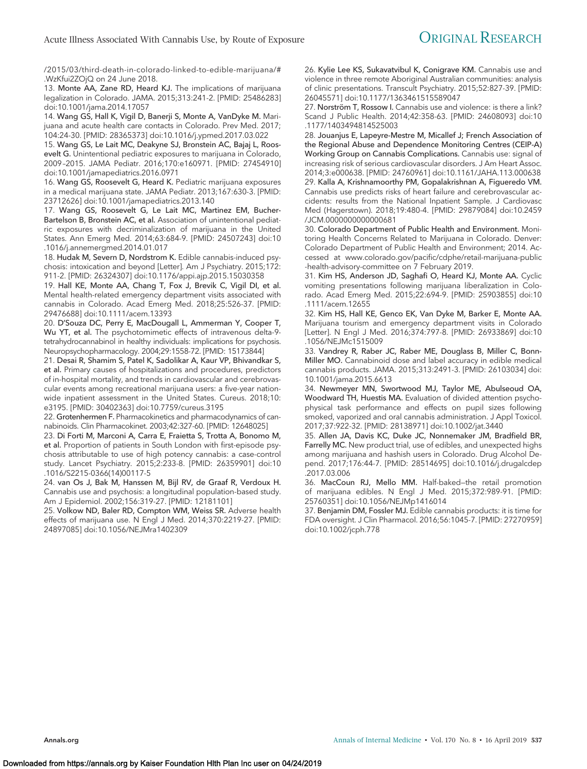/2015/03/third-death-in-colorado-linked-to-edible-marijuana/# [.WzKfui2ZOjQ](http://www.foodsafetynews.com/2015/03/third-death-in-colorado-linked-to-edible-marijuana/#.WzKfui2ZOjQ) on 24 June 2018.

13. Monte AA, Zane RD, Heard KJ. The implications of marijuana legalization in Colorado. JAMA. 2015;313:241-2. [PMID: 25486283] doi:10.1001/jama.2014.17057

14. Wang GS, Hall K, Vigil D, Banerji S, Monte A, VanDyke M. Marijuana and acute health care contacts in Colorado. Prev Med. 2017; 104:24-30. [PMID: 28365373] doi:10.1016/j.ypmed.2017.03.022

15. Wang GS, Le Lait MC, Deakyne SJ, Bronstein AC, Bajaj L, Roosevelt G. Unintentional pediatric exposures to marijuana in Colorado, 2009 –2015. JAMA Pediatr. 2016;170:e160971. [PMID: 27454910] doi:10.1001/jamapediatrics.2016.0971

16. Wang GS, Roosevelt G, Heard K. Pediatric marijuana exposures in a medical marijuana state. JAMA Pediatr. 2013;167:630-3. [PMID: 23712626] doi:10.1001/jamapediatrics.2013.140

17. Wang GS, Roosevelt G, Le Lait MC, Martinez EM, Bucher-Bartelson B, Bronstein AC, et al. Association of unintentional pediatric exposures with decriminalization of marijuana in the United States. Ann Emerg Med. 2014;63:684-9. [PMID: 24507243] doi:10 .1016/j.annemergmed.2014.01.017

18. Hudak M, Severn D, Nordstrom K. Edible cannabis-induced psychosis: intoxication and beyond [Letter]. Am J Psychiatry. 2015;172: 911-2. [PMID: 26324307] doi:10.1176/appi.ajp.2015.15030358

19. Hall KE, Monte AA, Chang T, Fox J, Brevik C, Vigil DI, et al. Mental health-related emergency department visits associated with cannabis in Colorado. Acad Emerg Med. 2018;25:526-37. [PMID: 29476688] doi:10.1111/acem.13393

20. D'Souza DC, Perry E, MacDougall L, Ammerman Y, Cooper T, Wu YT, et al. The psychotomimetic effects of intravenous delta-9 tetrahydrocannabinol in healthy individuals: implications for psychosis. Neuropsychopharmacology. 2004;29:1558-72. [PMID: 15173844]

21. Desai R, Shamim S, Patel K, Sadolikar A, Kaur VP, Bhivandkar S, et al. Primary causes of hospitalizations and procedures, predictors of in-hospital mortality, and trends in cardiovascular and cerebrovascular events among recreational marijuana users: a five-year nationwide inpatient assessment in the United States. Cureus. 2018;10: e3195. [PMID: 30402363] doi:10.7759/cureus.3195

22. Grotenhermen F. Pharmacokinetics and pharmacodynamics of cannabinoids. Clin Pharmacokinet. 2003;42:327-60. [PMID: 12648025]

23. Di Forti M, Marconi A, Carra E, Fraietta S, Trotta A, Bonomo M, et al. Proportion of patients in South London with first-episode psychosis attributable to use of high potency cannabis: a case-control study. Lancet Psychiatry. 2015;2:233-8. [PMID: 26359901] doi:10 .1016/S2215-0366(14)00117-5

24. van Os J, Bak M, Hanssen M, Bijl RV, de Graaf R, Verdoux H. Cannabis use and psychosis: a longitudinal population-based study. Am J Epidemiol. 2002;156:319-27. [PMID: 12181101]

25. Volkow ND, Baler RD, Compton WM, Weiss SR. Adverse health effects of marijuana use. N Engl J Med. 2014;370:2219-27. [PMID: 24897085] doi:10.1056/NEJMra1402309

26. Kylie Lee KS, Sukavatvibul K, Conigrave KM. Cannabis use and violence in three remote Aboriginal Australian communities: analysis of clinic presentations. Transcult Psychiatry. 2015;52:827-39. [PMID: 26045571] doi:10.1177/1363461515589047

27. Norström T, Rossow I. Cannabis use and violence: is there a link? Scand J Public Health. 2014;42:358-63. [PMID: 24608093] doi:10 .1177/1403494814525003

28. Jouanjus E, Lapeyre-Mestre M, Micallef J; French Association of the Regional Abuse and Dependence Monitoring Centres (CEIP-A) Working Group on Cannabis Complications. Cannabis use: signal of increasing risk of serious cardiovascular disorders. J Am Heart Assoc. 2014;3:e000638. [PMID: 24760961] doi:10.1161/JAHA.113.000638 29. Kalla A, Krishnamoorthy PM, Gopalakrishnan A, Figueredo VM. Cannabis use predicts risks of heart failure and cerebrovascular accidents: results from the National Inpatient Sample. J Cardiovasc Med (Hagerstown). 2018;19:480-4. [PMID: 29879084] doi:10.2459 /JCM.0000000000000681

30. Colorado Department of Public Health and Environment. Monitoring Health Concerns Related to Marijuana in Colorado. Denver: Colorado Department of Public Health and Environment; 2014. Accessed at [www.colorado.gov/pacific/cdphe/retail-marijuana-public](http://www.colorado.gov/pacific/cdphe/retail-marijuana-public-health-advisory-committee) [-health-advisory-committee](http://www.colorado.gov/pacific/cdphe/retail-marijuana-public-health-advisory-committee) on 7 February 2019.

31. Kim HS, Anderson JD, Saghafi O, Heard KJ, Monte AA. Cyclic vomiting presentations following marijuana liberalization in Colorado. Acad Emerg Med. 2015;22:694-9. [PMID: 25903855] doi:10 .1111/acem.12655

32. Kim HS, Hall KE, Genco EK, Van Dyke M, Barker E, Monte AA. Marijuana tourism and emergency department visits in Colorado [Letter]. N Engl J Med. 2016;374:797-8. [PMID: 26933869] doi:10 .1056/NEJMc1515009

33. Vandrey R, Raber JC, Raber ME, Douglass B, Miller C, Bonn-Miller MO. Cannabinoid dose and label accuracy in edible medical cannabis products. JAMA. 2015;313:2491-3. [PMID: 26103034] doi: 10.1001/jama.2015.6613

34. Newmeyer MN, Swortwood MJ, Taylor ME, Abulseoud OA, Woodward TH, Huestis MA. Evaluation of divided attention psychophysical task performance and effects on pupil sizes following smoked, vaporized and oral cannabis administration. J Appl Toxicol. 2017;37:922-32. [PMID: 28138971] doi:10.1002/jat.3440

35. Allen JA, Davis KC, Duke JC, Nonnemaker JM, Bradfield BR, Farrelly MC. New product trial, use of edibles, and unexpected highs among marijuana and hashish users in Colorado. Drug Alcohol Depend. 2017;176:44-7. [PMID: 28514695] doi:10.1016/j.drugalcdep .2017.03.006

36. MacCoun RJ, Mello MM. Half-baked—the retail promotion of marijuana edibles. N Engl J Med. 2015;372:989-91. [PMID: 25760351] doi:10.1056/NEJMp1416014

37. Benjamin DM, Fossler MJ. Edible cannabis products: it is time for FDA oversight. J Clin Pharmacol. 2016;56:1045-7. [PMID: 27270959] doi:10.1002/jcph.778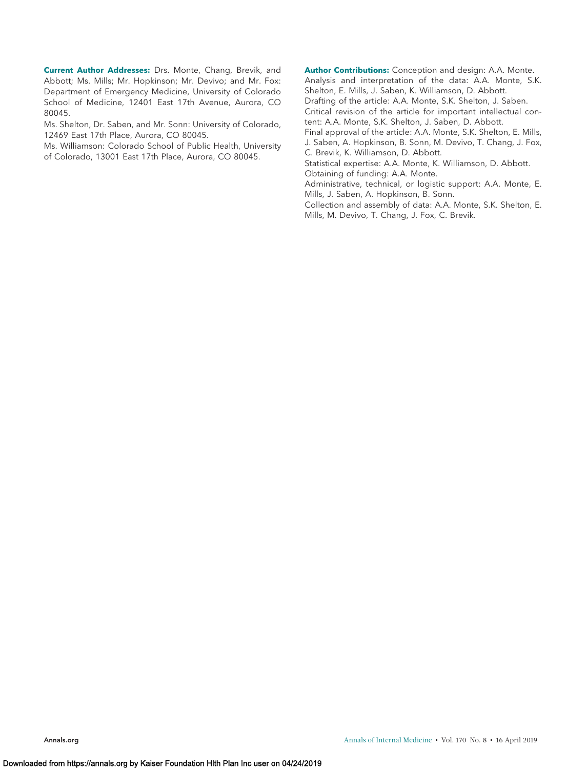**Current Author Addresses:** Drs. Monte, Chang, Brevik, and Abbott; Ms. Mills; Mr. Hopkinson; Mr. Devivo; and Mr. Fox: Department of Emergency Medicine, University of Colorado School of Medicine, 12401 East 17th Avenue, Aurora, CO 80045.

Ms. Shelton, Dr. Saben, and Mr. Sonn: University of Colorado, 12469 East 17th Place, Aurora, CO 80045.

Ms. Williamson: Colorado School of Public Health, University of Colorado, 13001 East 17th Place, Aurora, CO 80045.

**Author Contributions:** Conception and design: A.A. Monte. Analysis and interpretation of the data: A.A. Monte, S.K. Shelton, E. Mills, J. Saben, K. Williamson, D. Abbott. Drafting of the article: A.A. Monte, S.K. Shelton, J. Saben.

Critical revision of the article for important intellectual content: A.A. Monte, S.K. Shelton, J. Saben, D. Abbott.

Final approval of the article: A.A. Monte, S.K. Shelton, E. Mills, J. Saben, A. Hopkinson, B. Sonn, M. Devivo, T. Chang, J. Fox, C. Brevik, K. Williamson, D. Abbott.

Statistical expertise: A.A. Monte, K. Williamson, D. Abbott. Obtaining of funding: A.A. Monte.

Administrative, technical, or logistic support: A.A. Monte, E. Mills, J. Saben, A. Hopkinson, B. Sonn.

Collection and assembly of data: A.A. Monte, S.K. Shelton, E. Mills, M. Devivo, T. Chang, J. Fox, C. Brevik.